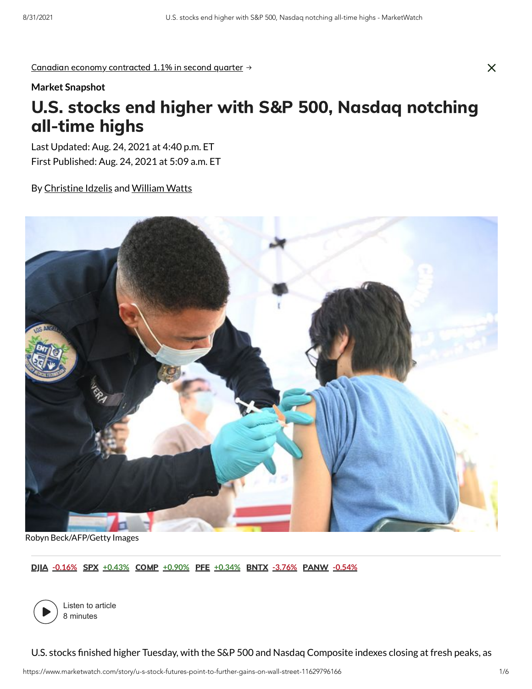Canadian economy contracted 1.1% in second quarter  $\rightarrow$ 

#### **Market Snapshot**

# U.S. stocks end higher with S&P 500, Nasdaq notching all-time highs

Last Updated: Aug. 24, 2021 at 4:40 p.m. ET First Published: Aug. 24, 2021 at 5:09 a.m. ET

By Christine Idzelis and William Watts



Robyn Beck/AFP/Getty Images

DJIA **-0.16%** SPX **+0.43%** COMP **+0.90%** PFE **+0.34%** BNTX **-3.76%** PANW **-0.54%**



Listen to article 8 minutes

U.S. stocks finished higher Tuesday, with the S&P 500 and Nasdaq Composite indexes closing at fresh peaks, as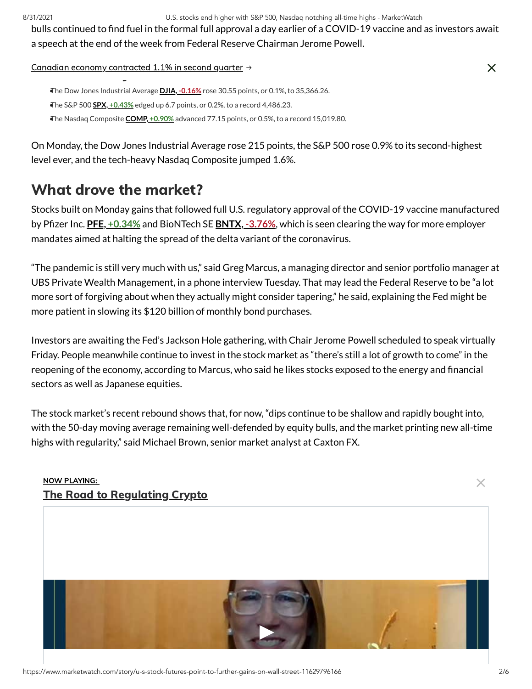8/31/2021 U.S. stocks end higher with S&P 500, Nasdaq notching all-time highs - MarketWatch

bulls continued to find fuel in the formal full approval a day earlier of a COVID-19 vaccine and as investors await a speech at the end of the week from Federal Reserve Chairman Jerome Powell.

# $\frac{1}{\mathsf{K}}$  Canadian economy contracted 1.1% in second quarter  $\rightarrow$

•The Dow Jones Industrial Average **DJIA, -0.16%** rose 30.55 points, or 0.1%, to 35,366.26. •The S&P 500 **SPX, +0.43%** edged up 6.7 points, or 0.2%, to a record 4,486.23. •The Nasdaq Composite **COMP, +0.90%** advanced 77.15 points, or 0.5%, to a record 15,019.80.

On Monday, the Dow Jones Industrial Average rose 215 points, the S&P 500 rose 0.9% to its second-highest level ever, and the tech-heavy Nasdaq Composite jumped 1.6%.

## What drove the market?

Stocks built on Monday gains that followed full U.S. regulatory approval of the COVID-19 vaccine manufactured by Pfizer Inc. **PFE, +0.34%** and BioNTech SE **BNTX, -3.76%**, which is seen clearing the way for more employer mandates aimed at halting the spread of the delta variant of the coronavirus.

"The pandemic is still very much with us," said Greg Marcus, a managing director and senior portfolio manager at UBS Private Wealth Management, in a phone interview Tuesday. That may lead the Federal Reserve to be "a lot more sort of forgiving about when they actually might consider tapering," he said, explaining the Fed might be more patient in slowing its \$120 billion of monthly bond purchases.

Investors are awaiting the Fed's Jackson Hole gathering, with Chair Jerome Powell scheduled to speak virtually Friday. People meanwhile continue to invest in the stock market as "there's still a lot of growth to come" in the reopening of the economy, according to Marcus, who said he likes stocks exposed to the energy and financial sectors as well as Japanese equities.

The stock market's recent rebound shows that, for now, "dips continue to be shallow and rapidly bought into, with the 50-day moving average remaining well-defended by equity bulls, and the market printing new all-time highs with regularity," said Michael Brown, senior market analyst at Caxton FX.

## NOW PLAYING: The Road to Regulating Crypto



 $\times$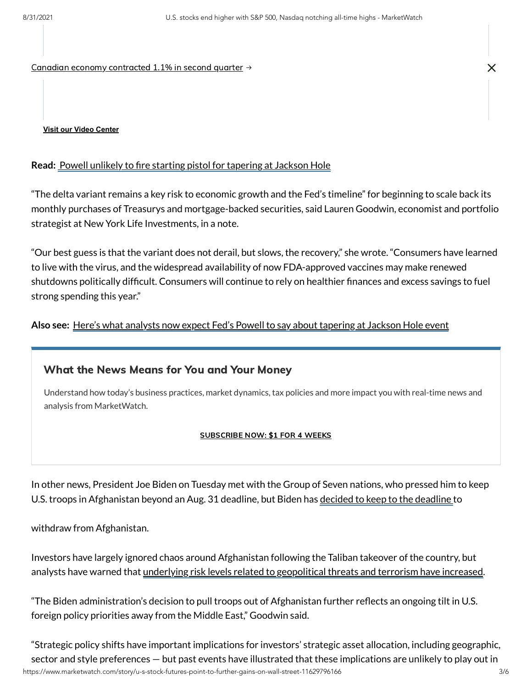Canadian economy contracted 1.1% in second quarter  $\rightarrow$ 

#### **Read:** Powell unlikely to fire starting pistol for tapering at Jackson Hole

"The delta variant remains a key risk to economic growth and the Fed's timeline" for beginning to scale back its monthly purchases of Treasurys and mortgage-backed securities, said Lauren Goodwin, economist and portfolio strategist at New York Life Investments, in a note.

"Our best guess is that the variant does not derail, but slows, the recovery," she wrote. "Consumers have learned to live with the virus, and the widespread availability of now FDA-approved vaccines may make renewed shutdowns politically difficult. Consumers will continue to rely on healthier finances and excess savings to fuel strong spending this year."

**Also see:** Here's what analysts now expect Fed's Powell to say about tapering at Jackson Hole event

### What the News Means for You and Your Money

Understand how today's business practices, market dynamics, tax policies and more impact you with real-time news and analysis from MarketWatch.

#### SUBSCRIBE NOW: \$1 FOR 4 WEEKS

In other news, President Joe Biden on Tuesday met with the Group of Seven nations, who pressed him to keep U.S. troops in Afghanistan beyond an Aug. 31 deadline, but Biden has decided to keep to the deadline to

withdraw from Afghanistan.

Investors have largely ignored chaos around Afghanistan following the Taliban takeover of the country, but analysts have warned that underlying risk levels related to geopolitical threats and terrorism have increased.

"The Biden administration's decision to pull troops out of Afghanistan further reflects an ongoing tilt in U.S. foreign policy priorities away from the Middle East," Goodwin said.

https://www.marketwatch.com/story/u-s-stock-futures-point-to-further-gains-on-wall-street-11629796166 3/6 "Strategic policy shifts have important implications for investors' strategic asset allocation, including geographic, sector and style preferences — but past events have illustrated that these implications are unlikely to play out in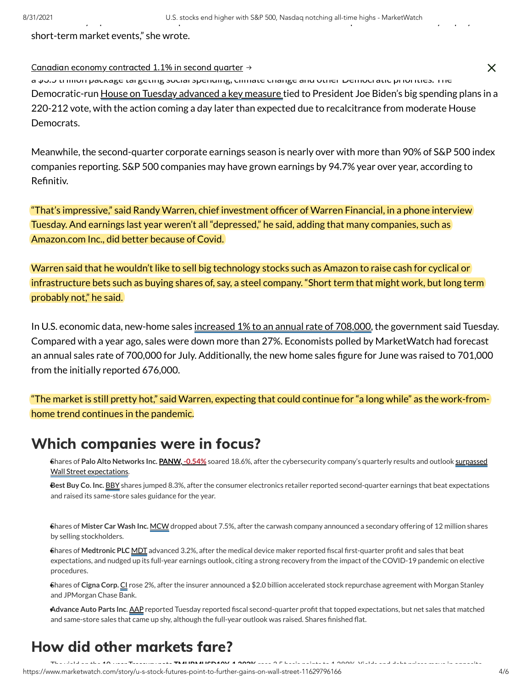short-term market events," she wrote.

## Canadian economy contracted 1.1% in second quarter  $\rightarrow$

a \$3.3 trillion package targeting social spending, climate change and other Democratic priorities. The Democratic-run House on Tuesday advanced a key measure tied to President Joe Biden's big spending plans in a 220-212 vote, with the action coming a day later than expected due to recalcitrance from moderate House Democrats.

Meanwhile, the second-quarter corporate earnings season is nearly over with more than 90% of S&P 500 index companies reporting. S&P 500 companies may have grown earnings by 94.7% year over year, according to Refinitiv.

"That's impressive," said Randy Warren, chief investment officer of Warren Financial, in a phone interview Tuesday. And earnings last year weren't all "depressed," he said, adding that many companies, such as Amazon.com Inc., did better because of Covid.

Warren said that he wouldn't like to sell big technology stocks such as Amazon to raise cash for cyclical or infrastructure bets such as buying shares of, say, a steel company. "Short term that might work, but long term probably not," he said.

In U.S. economic data, new-home sales increased 1% to an annual rate of 708,000, the government said Tuesday. Compared with a year ago, sales were down more than 27%. Economists polled by MarketWatch had forecast an annual sales rate of 700,000 for July. Additionally, the new home sales figure for June was raised to 701,000 from the initially reported 676,000.

"The market is still pretty hot," said Warren, expecting that could continue for "a long while" as the work-fromhome trend continues in the pandemic.

## Which companies were in focus?

Shares of **Palo Alto Networks Inc. PANW, -0.54%** soared 18.6%, after the cybersecurity company's quarterly results and outlook surpassed • Wall Street expectations.

**Best Buy Co. Inc. BBY** shares jumped 8.3%, after the consumer electronics retailer reported second-quarter earnings that beat expectations and raised its same-store sales guidance for the year.

Shares of **Mister Car Wash Inc.** MCW dropped about 7.5%, after the carwash company announced a secondary offering of 12 million shares • by selling stockholders.

Shares of **Medtronic PLC** MDT advanced 3.2%, after the medical device maker reported fiscal first-quarter profit and sales that beat • expectations, and nudged up its full-year earnings outlook, citing a strong recovery from the impact of the COVID-19 pandemic on elective procedures.

Shares of **Cigna Corp.** CI rose 2%, after the insurer announced a \$2.0 billion accelerated stock repurchase agreement with Morgan Stanley • and JPMorgan Chase Bank.

**Advance Auto Parts Inc**. AAP reported Tuesday reported fiscal second-quarter profit that topped expectations, but net sales that matched • and same-store sales that came up shy, although the full-year outlook was raised. Shares finished flat.

## How did other markets fare?

The yield on the 10 year Treasury note **TMUBMUSD10Y 1 293%** rose 3 5 basis points to 1 289% Yields and debt prices move in opposite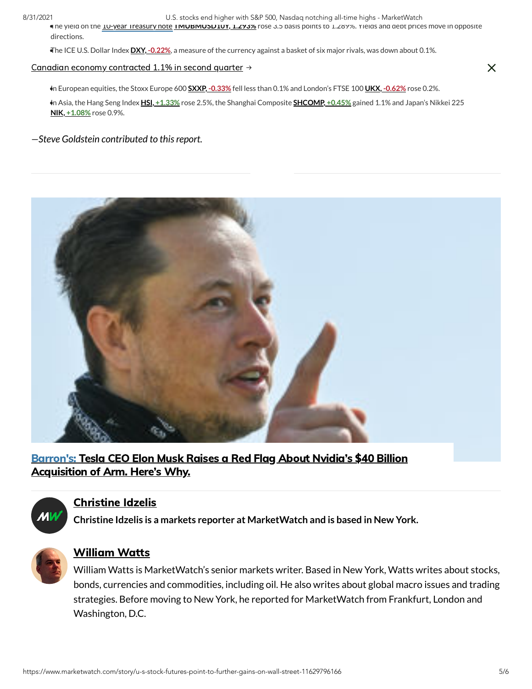8/31/2021 U.S. stocks end higher with S&P 500, Nasdaq notching all-time highs - MarketWatch

If he yield on the **10-year Treasury note IMUBMUSD10Y, 1.293%** rose 3.5 basis points to 1.289%. Yields and debt prices move in opposite directions.

•The ICE U.S. Dollar Index **DXY, -0.22%**, a measure of the currency against a basket of six major rivals, was down about 0.1%.

#### $\epsilon$  Canadian economy contracted 1.1% in second quarter  $\rightarrow$ Mercantile Exchange. Gold futures **GC00, 0.03%** ticked up 0.1% to settle at \$1,808.50 an ounce.

•In European equities, the Stoxx Europe 600 **SXXP, -0.33%** fell less than 0.1% and London's FTSE 100 **UKX, -0.62%** rose 0.2%.

In Asia, the Hang Seng Index **HSI, +1.33%** rose 2.5%, the Shanghai Composite **SHCOMP, +0.45%** gained 1.1% and Japan's Nikkei 225 • **NIK, +1.08%** rose 0.9%.

#### *—Steve Goldstein contributed to thisreport.*



Barron's: Tesla CEO Elon Musk Raises a Red Flag About Nvidia's \$40 Billion Acquisition of Arm. Here's Why.



### Christine Idzelis

**Christine Idzelis is a markets reporter at MarketWatch and is based in New York.**



### William Watts

William Watts is MarketWatch's senior markets writer. Based in New York, Watts writes about stocks, bonds, currencies and commodities, including oil. He also writes about global macro issues and trading strategies. Before moving to New York, he reported for MarketWatch from Frankfurt, London and Washington, D.C.